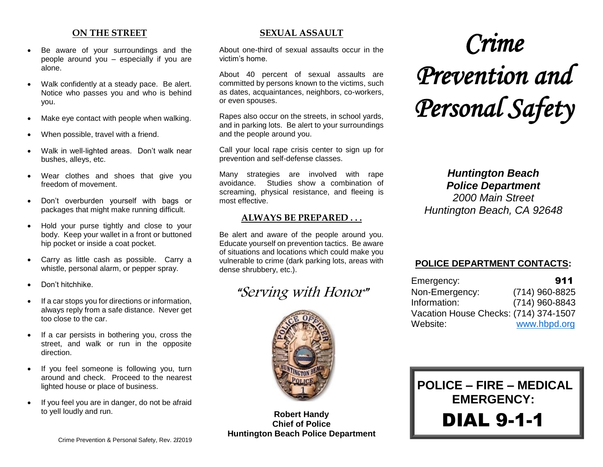#### **ON THE STREET**

- Be aware of your surroundings and the people around you  $-$  especially if you are alone.
- Walk confidently at a steady pace. Be alert. Notice who passes you and who is behind you.
- Make eye contact with people when walking.
- When possible, travel with a friend.
- Walk in well-lighted areas. Don't walk near bushes, alleys, etc.
- Wear clothes and shoes that give you freedom of movement.
- Don't overburden yourself with bags or packages that might make running difficult.
- Hold your purse tightly and close to your body. Keep your wallet in a front or buttoned hip pocket or inside a coat pocket.
- Carry as little cash as possible. Carry a whistle, personal alarm, or pepper spray.
- Don't hitchhike.
- If a car stops you for directions or information, always reply from a safe distance. Never get too close to the car.
- If a car persists in bothering you, cross the street, and walk or run in the opposite direction.
- If you feel someone is following you, turn around and check. Proceed to the nearest lighted house or place of business.
- If you feel you are in danger, do not be afraid to yell loudly and run.

#### **SEXUAL ASSAULT**

About one-third of sexual assaults occur in the victim's home.

About 40 percent of sexual assaults are committed by persons known to the victims, such as dates, acquaintances, neighbors, co-workers, or even spouses.

Rapes also occur on the streets, in school yards, and in parking lots. Be alert to your surroundings and the people around you.

Call your local rape crisis center to sign up for prevention and self-defense classes.

Many strategies are involved with rape avoidance. Studies show a combination of screaming, physical resistance, and fleeing is most effective.

#### **ALWAYS BE PREPARED . . .**

Be alert and aware of the people around you. Educate yourself on prevention tactics. Be aware of situations and locations which could make you vulnerable to crime (dark parking lots, areas with dense shrubbery, etc.).

# "Serving with Honor"



**Robert Handy Chief of Police Huntington Beach Police Department**

# *Crime Prevention and Personal Safety*

*Huntington Beach Police Department*

*2000 Main Street Huntington Beach, CA 92648*

### **POLICE DEPARTMENT CONTACTS:**

| Emergency:                            | 911            |  |
|---------------------------------------|----------------|--|
| Non-Emergency:                        | (714) 960-8825 |  |
| Information:                          | (714) 960-8843 |  |
| Vacation House Checks: (714) 374-1507 |                |  |
| Website:                              | www.hbpd.org   |  |